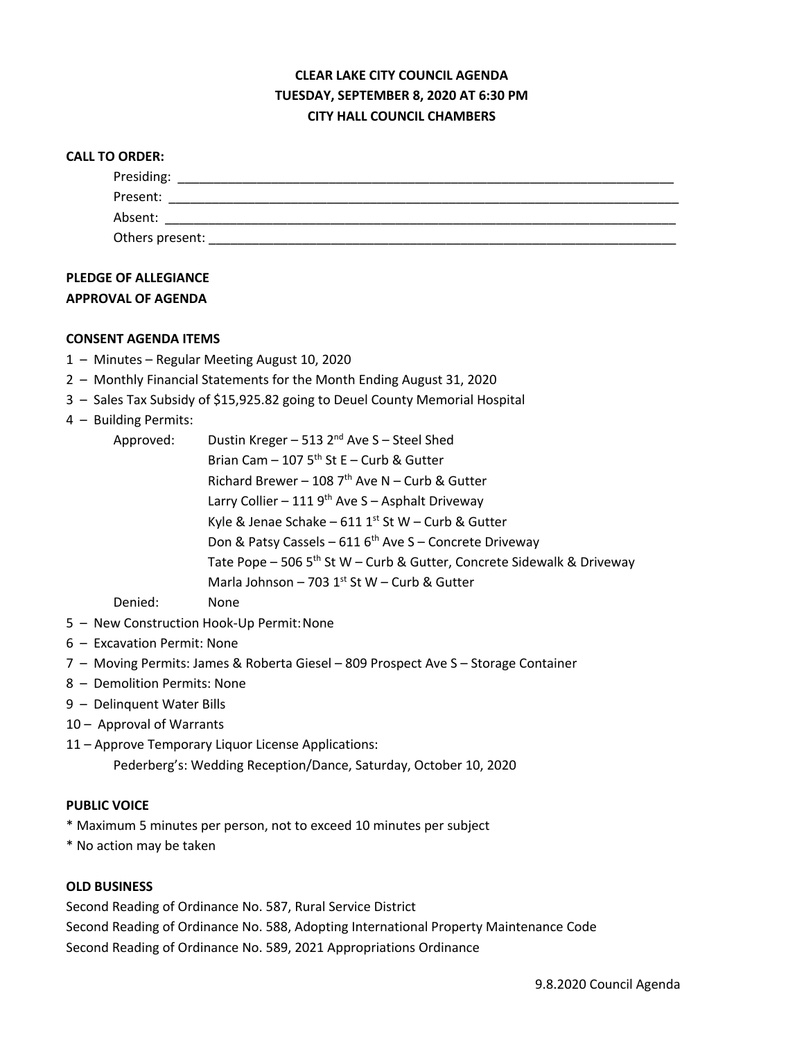# **CLEAR LAKE CITY COUNCIL AGENDA TUESDAY, SEPTEMBER 8, 2020 AT 6:30 PM CITY HALL COUNCIL CHAMBERS**

| <b>CALL TO ORDER:</b> |  |
|-----------------------|--|
| Presiding:            |  |
| Present:              |  |
| Absent:               |  |
| Others present:       |  |

## **PLEDGE OF ALLEGIANCE APPROVAL OF AGENDA**

#### **CONSENT AGENDA ITEMS**

- 1 Minutes Regular Meeting August 10, 2020
- 2 Monthly Financial Statements for the Month Ending August 31, 2020
- 3 Sales Tax Subsidy of \$15,925.82 going to Deuel County Memorial Hospital
- 4 Building Permits:

| Approved: | Dustin Kreger - 513 2 <sup>nd</sup> Ave S - Steel Shed                             |
|-----------|------------------------------------------------------------------------------------|
|           | Brian Cam $-$ 107 5 <sup>th</sup> St E $-$ Curb & Gutter                           |
|           | Richard Brewer - 108 $7th$ Ave N - Curb & Gutter                                   |
|           | Larry Collier - 111 $9th$ Ave S - Asphalt Driveway                                 |
|           | Kyle & Jenae Schake - $611 1^{st}$ St W - Curb & Gutter                            |
|           | Don & Patsy Cassels - 611 6 <sup>th</sup> Ave S - Concrete Driveway                |
|           | Tate Pope - 506 5 <sup>th</sup> St W - Curb & Gutter, Concrete Sidewalk & Driveway |
|           | Marla Johnson - 703 1st W - Curb & Gutter                                          |
| Denied:   | <b>None</b>                                                                        |

- 5 New Construction Hook-Up Permit:None
- 6 Excavation Permit: None
- 7 Moving Permits: James & Roberta Giesel 809 Prospect Ave S Storage Container
- 8 Demolition Permits: None
- 9 Delinquent Water Bills
- 10 Approval of Warrants
- 11 Approve Temporary Liquor License Applications: Pederberg's: Wedding Reception/Dance, Saturday, October 10, 2020

#### **PUBLIC VOICE**

- \* Maximum 5 minutes per person, not to exceed 10 minutes per subject
- \* No action may be taken

#### **OLD BUSINESS**

Second Reading of Ordinance No. 587, Rural Service District Second Reading of Ordinance No. 588, Adopting International Property Maintenance Code Second Reading of Ordinance No. 589, 2021 Appropriations Ordinance